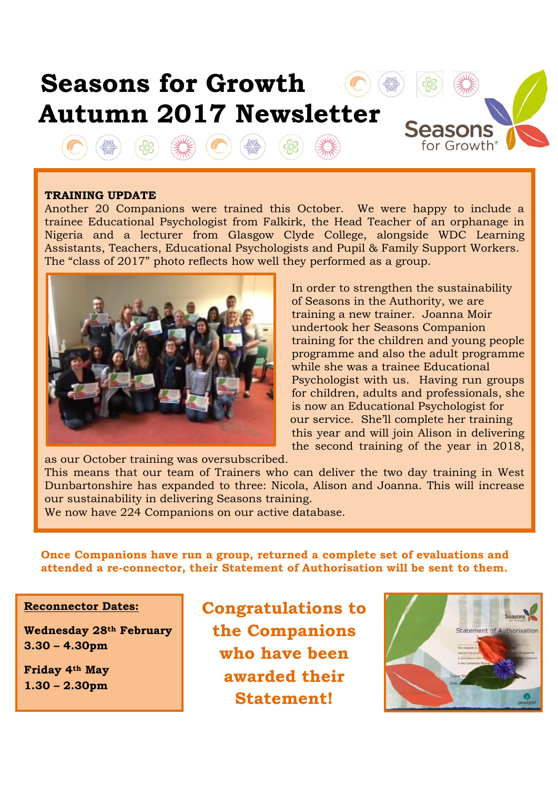

## **TRAINING UPDATE**

Another 20 Companions were trained this October. We were happy to include a trainee Educational Psychologist from Falkirk, the Head Teacher of an orphanage in Nigeria and a lecturer from Glasgow Clyde College, alongside WDC Learning Assistants, Teachers, Educational Psychologists and Pupil & Family Support Workers. The "class of 2017" photo reflects how well they performed as a group.



 In order to strengthen the sustainability of Seasons in the Authority, we are training a new trainer. Joanna Moir undertook her Seasons Companion training for the children and young people programme and also the adult programme while she was a trainee Educational Psychologist with us. Having run groups for children, adults and professionals, she is now an Educational Psychologist for our service. She'll complete her training this year and will join Alison in delivering the second training of the year in 2018,

as our October training was oversubscribed.

This means that our team of Trainers who can deliver the two day training in West Dunbartonshire has expanded to three: Nicola, Alison and Joanna. This will increase our sustainability in delivering Seasons training.

We now have 224 Companions on our active database.

**Once Companions have run a group, returned a complete set of evaluations and attended a re-connector, their Statement of Authorisation will be sent to them.**

ı

## **Reconnector Dates:**

**Wednesday 28th February 3.30 – 4.30pm**

**Friday 4th May 1.30 – 2.30pm**

 **Congratulations to the Companions who have been awarded their Statement!**